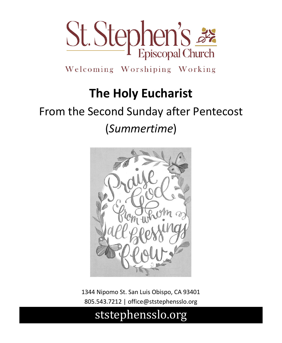

Welcoming Worshiping Working

# **The Holy Eucharist**

# From the Second Sunday after Pentecost (*Summertime*)



1344 Nipomo St. San Luis Obispo, CA 93401 805.543.7212 | office@ststephensslo.org

## ststephensslo.org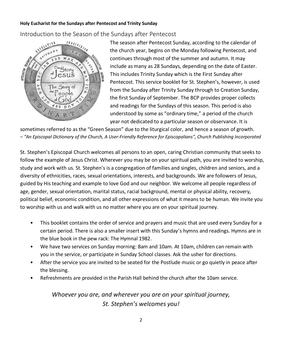Introduction to the Season of the Sundays after Pentecost



The season after Pentecost Sunday, according to the calendar of the church year, begins on the Monday following Pentecost, and continues through most of the summer and autumn. It may include as many as 28 Sundays, depending on the date of Easter. This includes Trinity Sunday which is the First Sunday after Pentecost. This service booklet for St. Stephen's, however, is used from the Sunday after Trinity Sunday through to Creation Sunday, the first Sunday of September. The BCP provides proper collects and readings for the Sundays of this season. This period is also understood by some as "ordinary time," a period of the church year not dedicated to a particular season or observance. It is

sometimes referred to as the "Green Season" due to the liturgical color, and hence a season of growth. *– "An Episcopal Dictionary of the Church, A User-Friendly Reference for Episcopalians", Church Publishing Incorporated*

St. Stephen's Episcopal Church welcomes all persons to an open, caring Christian community that seeks to follow the example of Jesus Christ. Wherever you may be on your spiritual path, you are invited to worship, study and work with us. St. Stephen's is a congregation of families and singles, children and seniors, and a diversity of ethnicities, races, sexual orientations, interests, and backgrounds. We are followers of Jesus, guided by His teaching and example to love God and our neighbor. We welcome all people regardless of age, gender, sexual orientation, marital status, racial background, mental or physical ability, recovery, political belief, economic condition, and all other expressions of what it means to be human. We invite you to worship with us and walk with us no matter where you are on your spiritual journey.

- This booklet contains the order of service and prayers and music that are used every Sunday for a certain period. There is also a smaller insert with this Sunday's hymns and readings. Hymns are in the blue book in the pew rack: The Hymnal 1982.
- We have two services on Sunday morning: 8am and 10am. At 10am, children can remain with you in the service, or participate in Sunday School classes. Ask the usher for directions.
- After the service you are invited to be seated for the Postlude music or go quietly in peace after the blessing.
- Refreshments are provided in the Parish Hall behind the church after the 10am service.

*Whoever you are, and wherever you are on your spiritual journey, St. Stephen's welcomes you!*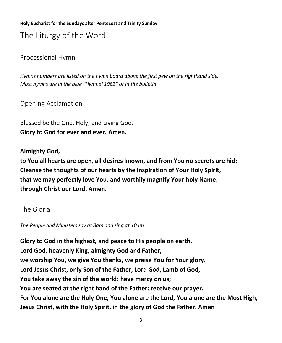The Liturgy of the Word

Processional Hymn

*Hymns numbers are listed on the hymn board above the first pew on the righthand side. Most hymns are in the blue "Hymnal 1982" or in the bulletin.* 

Opening Acclamation

Blessed be the One, Holy, and Living God. **Glory to God for ever and ever. Amen.**

**Almighty God,** 

**to You all hearts are open, all desires known, and from You no secrets are hid: Cleanse the thoughts of our hearts by the inspiration of Your Holy Spirit, that we may perfectly love You, and worthily magnify Your holy Name; through Christ our Lord. Amen.**

The Gloria

*The People and Ministers say at 8am and sing at 10am*

**Glory to God in the highest, and peace to His people on earth. Lord God, heavenly King, almighty God and Father, we worship You, we give You thanks, we praise You for Your glory. Lord Jesus Christ, only Son of the Father, Lord God, Lamb of God, You take away the sin of the world: have mercy on us; You are seated at the right hand of the Father: receive our prayer. For You alone are the Holy One, You alone are the Lord, You alone are the Most High, Jesus Christ, with the Holy Spirit, in the glory of God the Father. Amen**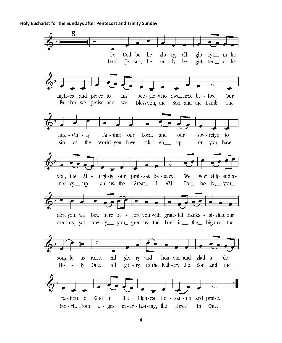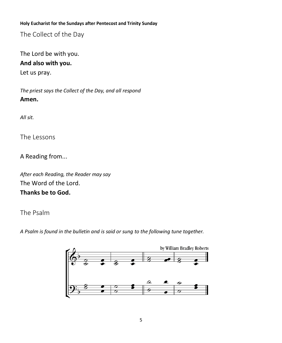The Collect of the Day

The Lord be with you. **And also with you.**

Let us pray.

*The priest says the Collect of the Day, and all respond* **Amen.**

*All sit.*

The Lessons

A Reading from...

*After each Reading, the Reader may say* The Word of the Lord. **Thanks be to God.**

The Psalm

*A Psalm is found in the bulletin and is said or sung to the following tune together.*

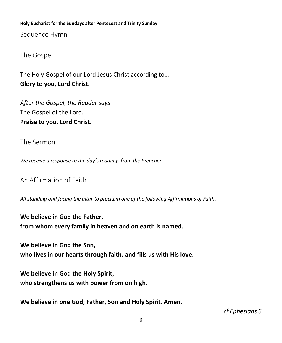Sequence Hymn

The Gospel

The Holy Gospel of our Lord Jesus Christ according to… **Glory to you, Lord Christ.**

*After the Gospel, the Reader says* The Gospel of the Lord. **Praise to you, Lord Christ.**

The Sermon

*We receive a response to the day's readings from the Preacher.*

An Affirmation of Faith

*All standing and facing the altar to proclaim one of the following Affirmations of Faith.*

**We believe in God the Father, from whom every family in heaven and on earth is named.**

**We believe in God the Son, who lives in our hearts through faith, and fills us with His love.**

**We believe in God the Holy Spirit, who strengthens us with power from on high.**

**We believe in one God; Father, Son and Holy Spirit. Amen.**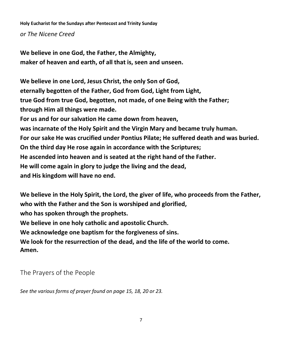**Holy Eucharist for the Sundays after Pentecost and Trinity Sunday** *or The Nicene Creed*

**We believe in one God, the Father, the Almighty, maker of heaven and earth, of all that is, seen and unseen.** 

**We believe in one Lord, Jesus Christ, the only Son of God, eternally begotten of the Father, God from God, Light from Light, true God from true God, begotten, not made, of one Being with the Father; through Him all things were made. For us and for our salvation He came down from heaven, was incarnate of the Holy Spirit and the Virgin Mary and became truly human. For our sake He was crucified under Pontius Pilate; He suffered death and was buried. On the third day He rose again in accordance with the Scriptures; He ascended into heaven and is seated at the right hand of the Father. He will come again in glory to judge the living and the dead, and His kingdom will have no end.** 

**We believe in the Holy Spirit, the Lord, the giver of life, who proceeds from the Father, who with the Father and the Son is worshiped and glorified, who has spoken through the prophets. We believe in one holy catholic and apostolic Church. We acknowledge one baptism for the forgiveness of sins. We look for the resurrection of the dead, and the life of the world to come. Amen.**

The Prayers of the People

*See the various forms of prayer found on page 15, 18, 20 or 23.*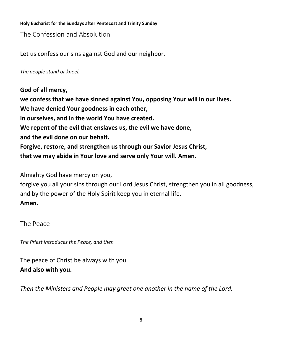The Confession and Absolution

Let us confess our sins against God and our neighbor.

*The people stand or kneel.*

**God of all mercy, we confess that we have sinned against You, opposing Your will in our lives. We have denied Your goodness in each other, in ourselves, and in the world You have created. We repent of the evil that enslaves us, the evil we have done, and the evil done on our behalf. Forgive, restore, and strengthen us through our Savior Jesus Christ, that we may abide in Your love and serve only Your will. Amen.**

Almighty God have mercy on you,

forgive you all your sins through our Lord Jesus Christ, strengthen you in all goodness, and by the power of the Holy Spirit keep you in eternal life. **Amen.**

The Peace

*The Priest introduces the Peace, and then*

The peace of Christ be always with you. **And also with you.**

*Then the Ministers and People may greet one another in the name of the Lord.*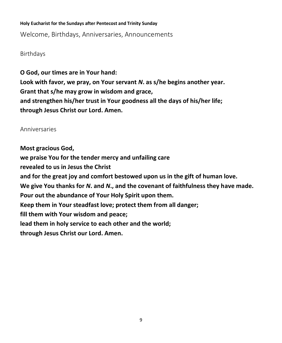Welcome, Birthdays, Anniversaries, Announcements

Birthdays

**O God, our times are in Your hand: Look with favor, we pray, on Your servant** *N***. as s/he begins another year. Grant that s/he may grow in wisdom and grace, and strengthen his/her trust in Your goodness all the days of his/her life; through Jesus Christ our Lord. Amen.**

Anniversaries

**Most gracious God, we praise You for the tender mercy and unfailing care revealed to us in Jesus the Christ and for the great joy and comfort bestowed upon us in the gift of human love. We give You thanks for** *N***. and** *N***., and the covenant of faithfulness they have made. Pour out the abundance of Your Holy Spirit upon them. Keep them in Your steadfast love; protect them from all danger; fill them with Your wisdom and peace; lead them in holy service to each other and the world; through Jesus Christ our Lord. Amen.**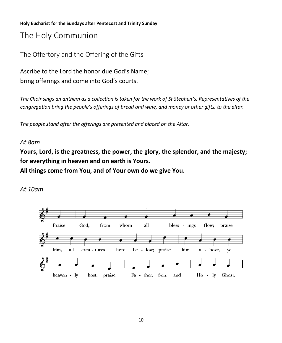The Holy Communion

The Offertory and the Offering of the Gifts

Ascribe to the Lord the honor due God's Name; bring offerings and come into God's courts.

*The Choir sings an anthem as a collection is taken for the work of St Stephen's. Representatives of the congregation bring the people's offerings of bread and wine, and money or other gifts, to the altar.*

*The people stand after the offerings are presented and placed on the Altar.* 

#### *At 8am*

**Yours, Lord, is the greatness, the power, the glory, the splendor, and the majesty; for everything in heaven and on earth is Yours.**

**All things come from You, and of Your own do we give You.**



*At 10am*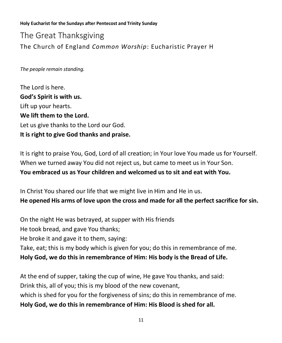The Great Thanksgiving The Church of England *Common Worship*: Eucharistic Prayer H

*The people remain standing.*

The Lord is here. **God's Spirit is with us.** Lift up your hearts. **We lift them to the Lord.** Let us give thanks to the Lord our God. **It is right to give God thanks and praise.**

It is right to praise You, God, Lord of all creation; in Your love You made us for Yourself. When we turned away You did not reject us, but came to meet us in Your Son. **You embraced us as Your children and welcomed us to sit and eat with You.**

In Christ You shared our life that we might live in Him and He in us. **He opened His arms of love upon the cross and made for all the perfect sacrifice for sin.**

On the night He was betrayed, at supper with His friends He took bread, and gave You thanks; He broke it and gave it to them, saying: Take, eat; this is my body which is given for you; do this in remembrance of me. **Holy God, we do this in remembrance of Him: His body is the Bread of Life.**

At the end of supper, taking the cup of wine, He gave You thanks, and said: Drink this, all of you; this is my blood of the new covenant, which is shed for you for the forgiveness of sins; do this in remembrance of me. **Holy God, we do this in remembrance of Him: His Blood is shed for all.**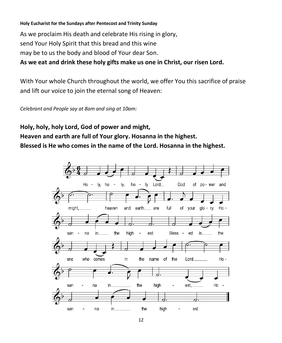As we proclaim His death and celebrate His rising in glory, send Your Holy Spirit that this bread and this wine may be to us the body and blood of Your dear Son.

**As we eat and drink these holy gifts make us one in Christ, our risen Lord.**

With Your whole Church throughout the world, we offer You this sacrifice of praise and lift our voice to join the eternal song of Heaven:

*Celebrant and People say at 8am and sing at 10am:*

**Holy, holy, holy Lord, God of power and might, Heaven and earth are full of Your glory. Hosanna in the highest. Blessed is He who comes in the name of the Lord. Hosanna in the highest.**

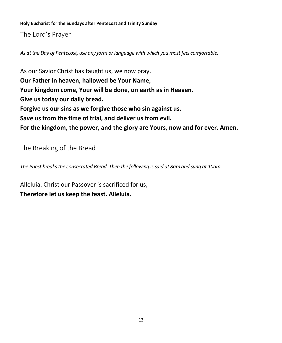The Lord's Prayer

*As at the Day of Pentecost, use any form or language with which you most feel comfortable.*

As our Savior Christ has taught us, we now pray, **Our Father in heaven, hallowed be Your Name, Your kingdom come, Your will be done, on earth as in Heaven. Give us today our daily bread. Forgive us our sins as we forgive those who sin against us. Save us from the time of trial, and deliver us from evil. For the kingdom, the power, and the glory are Yours, now and for ever. Amen.**

The Breaking of the Bread

*The Priest breaks the consecrated Bread. Then the following is said at 8am and sung at 10am.*

Alleluia. Christ our Passover is sacrificed for us; **Therefore let us keep the feast. Alleluia.**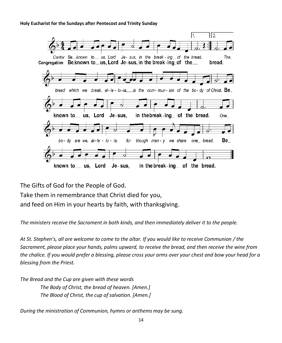

The Gifts of God for the People of God. Take them in remembrance that Christ died for you, and feed on Him in your hearts by faith, with thanksgiving.

*The ministers receive the Sacrament in both kinds, and then immediately deliver it to the people.*

*At St. Stephen's, all are welcome to come to the altar. If you would like to receive Communion / the Sacrament, please place your hands, palms upward, to receive the bread, and then receive the wine from the chalice. If you would prefer a blessing, please cross your arms over your chest and bow your head for a blessing from the Priest.*

*The Bread and the Cup are given with these words The Body of Christ, the bread of heaven. [Amen.] The Blood of Christ, the cup of salvation. [Amen.]*

*During the ministration of Communion, hymns or anthems may be sung.*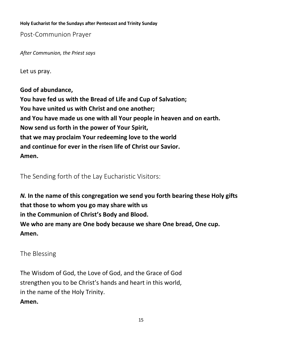Post-Communion Prayer

*After Communion, the Priest says*

Let us pray.

**God of abundance, You have fed us with the Bread of Life and Cup of Salvation; You have united us with Christ and one another; and You have made us one with all Your people in heaven and on earth. Now send us forth in the power of Your Spirit, that we may proclaim Your redeeming love to the world and continue for ever in the risen life of Christ our Savior. Amen.**

The Sending forth of the Lay Eucharistic Visitors:

*N.* **In the name of this congregation we send you forth bearing these Holy gifts that those to whom you go may share with us in the Communion of Christ's Body and Blood. We who are many are One body because we share One bread, One cup. Amen.**

The Blessing

The Wisdom of God, the Love of God, and the Grace of God strengthen you to be Christ's hands and heart in this world, in the name of the Holy Trinity. **Amen.**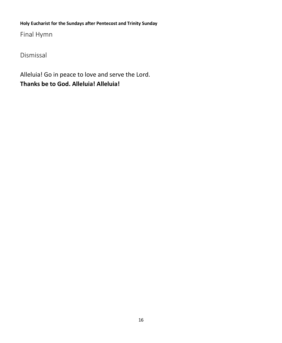Final Hymn

Dismissal

Alleluia! Go in peace to love and serve the Lord. **Thanks be to God. Alleluia! Alleluia!**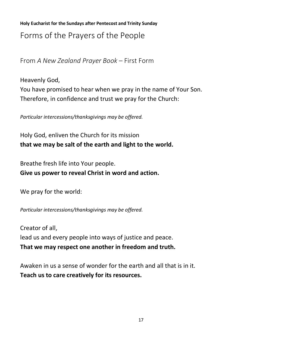**Holy Eucharist for the Sundays after Pentecost and Trinity Sunday** Forms of the Prayers of the People

From *A New Zealand Prayer Book* – First Form

Heavenly God, You have promised to hear when we pray in the name of Your Son. Therefore, in confidence and trust we pray for the Church:

*Particular intercessions/thanksgivings may be offered.*

Holy God, enliven the Church for its mission **that we may be salt of the earth and light to the world.**

Breathe fresh life into Your people.

**Give us power to reveal Christ in word and action.**

We pray for the world:

*Particular intercessions/thanksgivings may be offered.*

Creator of all, lead us and every people into ways of justice and peace. **That we may respect one another in freedom and truth.**

Awaken in us a sense of wonder for the earth and all that is in it. **Teach us to care creatively for its resources.**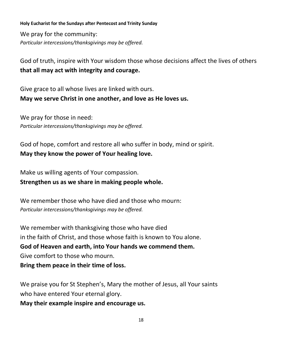We pray for the community: *Particular intercessions/thanksgivings may be offered.*

God of truth, inspire with Your wisdom those whose decisions affect the lives of others **that all may act with integrity and courage.**

Give grace to all whose lives are linked with ours. **May we serve Christ in one another, and love as He loves us.**

We pray for those in need: *Particular intercessions/thanksgivings may be offered.*

God of hope, comfort and restore all who suffer in body, mind or spirit. **May they know the power of Your healing love.** 

Make us willing agents of Your compassion.

**Strengthen us as we share in making people whole.** 

We remember those who have died and those who mourn: *Particular intercessions/thanksgivings may be offered.*

We remember with thanksgiving those who have died in the faith of Christ, and those whose faith is known to You alone. **God of Heaven and earth, into Your hands we commend them.**  Give comfort to those who mourn. **Bring them peace in their time of loss.** 

We praise you for St Stephen's, Mary the mother of Jesus, all Your saints who have entered Your eternal glory.

**May their example inspire and encourage us.**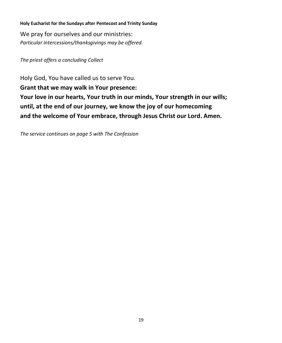We pray for ourselves and our ministries: *Particular intercessions/thanksgivings may be offered.*

*The priest offers a concluding Collect*

Holy God, You have called us to serve You. **Grant that we may walk in Your presence: Your love in our hearts, Your truth in our minds, Your strength in our wills; until, at the end of our journey, we know the joy of our homecoming and the welcome of Your embrace, through Jesus Christ our Lord. Amen.** 

*The service continues on page 5 with The Confession*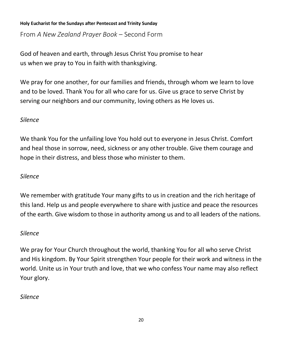From *A New Zealand Prayer Book* – Second Form

God of heaven and earth, through Jesus Christ You promise to hear us when we pray to You in faith with thanksgiving.

We pray for one another, for our families and friends, through whom we learn to love and to be loved. Thank You for all who care for us. Give us grace to serve Christ by serving our neighbors and our community, loving others as He loves us.

## *Silence*

We thank You for the unfailing love You hold out to everyone in Jesus Christ. Comfort and heal those in sorrow, need, sickness or any other trouble. Give them courage and hope in their distress, and bless those who minister to them.

## *Silence*

We remember with gratitude Your many gifts to us in creation and the rich heritage of this land. Help us and people everywhere to share with justice and peace the resources of the earth. Give wisdom to those in authority among us and to all leaders of the nations.

## *Silence*

We pray for Your Church throughout the world, thanking You for all who serve Christ and His kingdom. By Your Spirit strengthen Your people for their work and witness in the world. Unite us in Your truth and love, that we who confess Your name may also reflect Your glory.

## *Silence*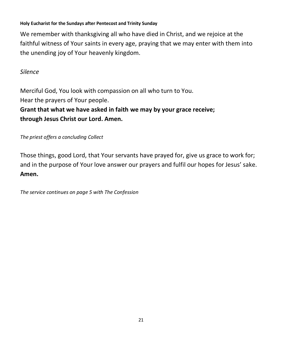We remember with thanksgiving all who have died in Christ, and we rejoice at the faithful witness of Your saints in every age, praying that we may enter with them into the unending joy of Your heavenly kingdom.

### *Silence*

Merciful God, You look with compassion on all who turn to You. Hear the prayers of Your people.

## **Grant that what we have asked in faith we may by your grace receive; through Jesus Christ our Lord. Amen.**

*The priest offers a concluding Collect*

Those things, good Lord, that Your servants have prayed for, give us grace to work for; and in the purpose of Your love answer our prayers and fulfil our hopes for Jesus' sake. **Amen.** 

*The service continues on page 5 with The Confession*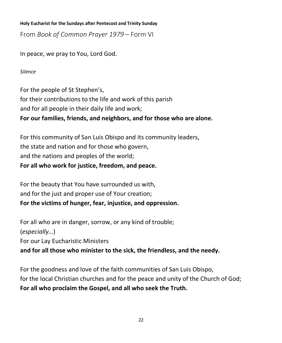From *Book of Common Prayer 1979* – Form VI

In peace, we pray to You, Lord God.

*Silence*

For the people of St Stephen's, for their contributions to the life and work of this parish and for all people in their daily life and work; **For our families, friends, and neighbors, and for those who are alone.**

For this community of San Luis Obispo and its community leaders, the state and nation and for those who govern, and the nations and peoples of the world; **For all who work for justice, freedom, and peace.**

For the beauty that You have surrounded us with, and for the just and proper use of Your creation; **For the victims of hunger, fear, injustice, and oppression.**

For all who are in danger, sorrow, or any kind of trouble; (*especially…*) For our Lay Eucharistic Ministers **and for all those who minister to the sick, the friendless, and the needy.**

For the goodness and love of the faith communities of San Luis Obispo, for the local Christian churches and for the peace and unity of the Church of God; **For all who proclaim the Gospel, and all who seek the Truth.**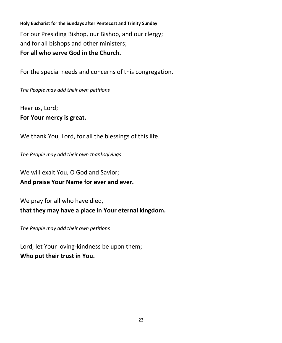**Holy Eucharist for the Sundays after Pentecost and Trinity Sunday** For our Presiding Bishop, our Bishop, and our clergy; and for all bishops and other ministers; **For all who serve God in the Church.**

For the special needs and concerns of this congregation.

*The People may add their own petitions*

Hear us, Lord;

**For Your mercy is great.**

We thank You, Lord, for all the blessings of this life.

*The People may add their own thanksgivings*

We will exalt You, O God and Savior; **And praise Your Name for ever and ever.**

We pray for all who have died, **that they may have a place in Your eternal kingdom.**

*The People may add their own petitions*

Lord, let Your loving-kindness be upon them; **Who put their trust in You.**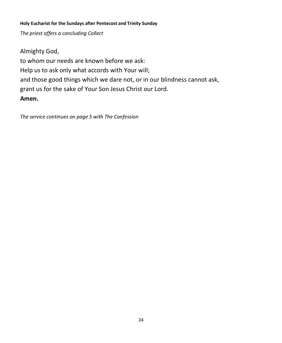*The priest offers a concluding Collect*

Almighty God, to whom our needs are known before we ask: Help us to ask only what accords with Your will; and those good things which we dare not, or in our blindness cannot ask, grant us for the sake of Your Son Jesus Christ our Lord. **Amen.**

*The service continues on page 5 with The Confession*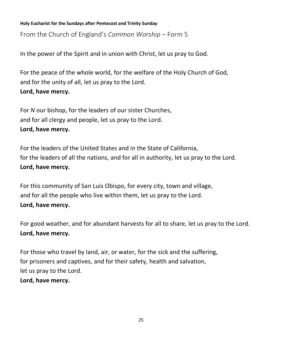From the Church of England's *Common Worship* – Form 5

In the power of the Spirit and in union with Christ, let us pray to God.

For the peace of the whole world, for the welfare of the Holy Church of God, and for the unity of all, let us pray to the Lord. **Lord, have mercy.**

For *N* our bishop, for the leaders of our sister Churches, and for all clergy and people, let us pray to the Lord. **Lord, have mercy.**

For the leaders of the United States and in the State of California, for the leaders of all the nations, and for all in authority, let us pray to the Lord. **Lord, have mercy.**

For this community of San Luis Obispo, for every city, town and village, and for all the people who live within them, let us pray to the Lord. **Lord, have mercy.**

For good weather, and for abundant harvests for all to share, let us pray to the Lord. **Lord, have mercy.**

For those who travel by land, air, or water, for the sick and the suffering, for prisoners and captives, and for their safety, health and salvation, let us pray to the Lord. **Lord, have mercy.**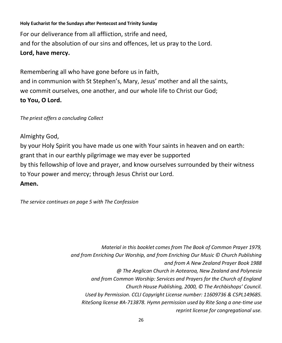**Holy Eucharist for the Sundays after Pentecost and Trinity Sunday** For our deliverance from all affliction, strife and need, and for the absolution of our sins and offences, let us pray to the Lord. **Lord, have mercy.**

Remembering all who have gone before us in faith, and in communion with St Stephen's, Mary, Jesus' mother and all the saints, we commit ourselves, one another, and our whole life to Christ our God; **to You, O Lord.**

#### *The priest offers a concluding Collect*

Almighty God, by your Holy Spirit you have made us one with Your saints in heaven and on earth: grant that in our earthly pilgrimage we may ever be supported by this fellowship of love and prayer, and know ourselves surrounded by their witness to Your power and mercy; through Jesus Christ our Lord. **Amen.**

*The service continues on page 5 with The Confession*

*Material in this booklet comes from The Book of Common Prayer 1979, and from Enriching Our Worship, and from Enriching Our Music © Church Publishing and from A New Zealand Prayer Book 1988 @ The Anglican Church in Aotearoa, New Zealand and Polynesia and from Common Worship: Services and Prayers for the Church of England Church House Publishing, 2000, © The Archbishops' Council. Used by Permission. CCLI Copyright License number: 11609736 & CSPL149685. RiteSong license #A-713878. Hymn permission used by Rite Song a one-time use reprint license for congregational use.*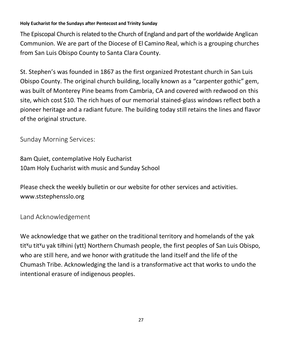The Episcopal Church is related to the Church of England and part of the worldwide Anglican Communion. We are part of the Diocese of El Camino Real, which is a grouping churches from San Luis Obispo County to Santa Clara County.

St. Stephen's was founded in 1867 as the first organized Protestant church in San Luis Obispo County. The original church building, locally known as a "carpenter gothic" gem, was built of Monterey Pine beams from Cambria, CA and covered with redwood on this site, which cost \$10. The rich hues of our memorial stained-glass windows reflect both a pioneer heritage and a radiant future. The building today still retains the lines and flavor of the original structure.

Sunday Morning Services:

8am Quiet, contemplative Holy Eucharist 10am Holy Eucharist with music and Sunday School

Please check the weekly bulletin or our website for other services and activities. www.ststephensslo.org

Land Acknowledgement

We acknowledge that we gather on the traditional territory and homelands of the yak tit<sup>y</sup>u tit<sup>y</sup>u yak tiłhini (ytt) Northern Chumash people, the first peoples of San Luis Obispo, who are still here, and we honor with gratitude the land itself and the life of the Chumash Tribe. Acknowledging the land is a transformative act that works to undo the intentional erasure of indigenous peoples.